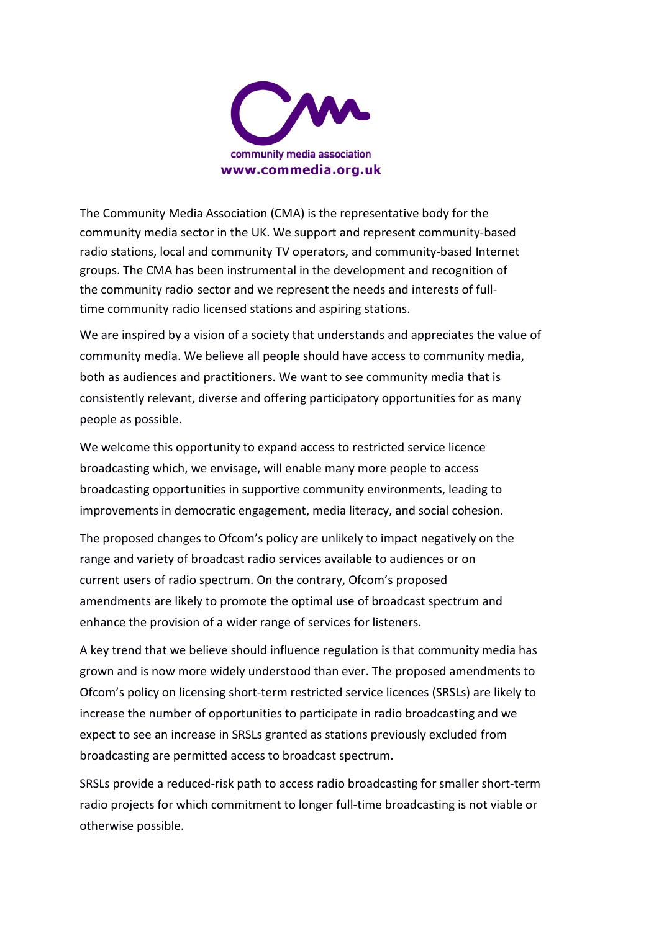

The Community Media Association (CMA) is the representative body for the community media sector in the UK. We support and represent community-based radio stations, local and community TV operators, and community-based Internet groups. The CMA has been instrumental in the development and recognition of the community radio sector and we represent the needs and interests of fulltime community radio licensed stations and aspiring stations.

We are inspired by a vision of a society that understands and appreciates the value of community media. We believe all people should have access to community media, both as audiences and practitioners. We want to see community media that is consistently relevant, diverse and offering participatory opportunities for as many people as possible.

We welcome this opportunity to expand access to restricted service licence broadcasting which, we envisage, will enable many more people to access broadcasting opportunities in supportive community environments, leading to improvements in democratic engagement, media literacy, and social cohesion.

The proposed changes to Ofcom's policy are unlikely to impact negatively on the range and variety of broadcast radio services available to audiences or on current users of radio spectrum. On the contrary, Ofcom's proposed amendments are likely to promote the optimal use of broadcast spectrum and enhance the provision of a wider range of services for listeners.

A key trend that we believe should influence regulation is that community media has grown and is now more widely understood than ever. The proposed amendments to Ofcom's policy on licensing short-term restricted service licences (SRSLs) are likely to increase the number of opportunities to participate in radio broadcasting and we expect to see an increase in SRSLs granted as stations previously excluded from broadcasting are permitted access to broadcast spectrum.

SRSLs provide a reduced-risk path to access radio broadcasting for smaller short-term radio projects for which commitment to longer full-time broadcasting is not viable or otherwise possible.